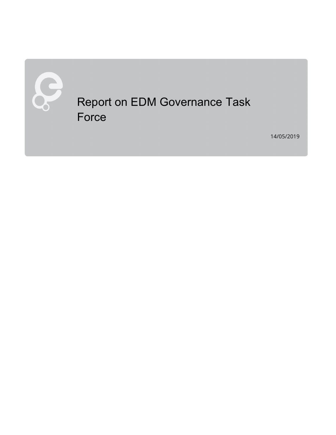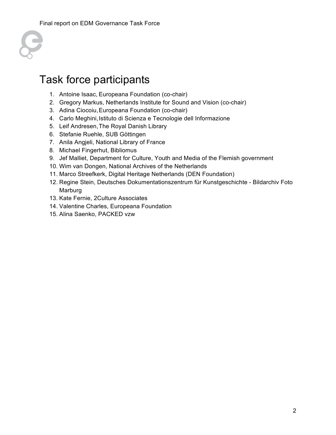

# Task force participants

- 1. Antoine Isaac, Europeana Foundation (co-chair)
- 2. Gregory Markus, Netherlands Institute for Sound and Vision (co-chair)
- 3. Adina Ciocoiu,Europeana Foundation (co-chair)
- 4. Carlo Meghini, Istituto di Scienza e Tecnologie dell Informazione
- 5. Leif Andresen,The Royal Danish Library
- 6. Stefanie Ruehle, SUB Göttingen
- 7. Anila Angjeli, National Library of France
- 8. Michael Fingerhut, Bibliomus
- 9. Jef Malliet, Department for Culture, Youth and Media of the Flemish government
- 10. Wim van Dongen, National Archives of the Netherlands
- 11. Marco Streefkerk, Digital Heritage Netherlands (DEN Foundation)
- 12. Regine Stein, Deutsches Dokumentationszentrum für Kunstgeschichte Bildarchiv Foto Marburg
- 13. Kate Fernie, 2Culture Associates
- 14. Valentine Charles, Europeana Foundation
- 15. Alina Saenko, PACKED vzw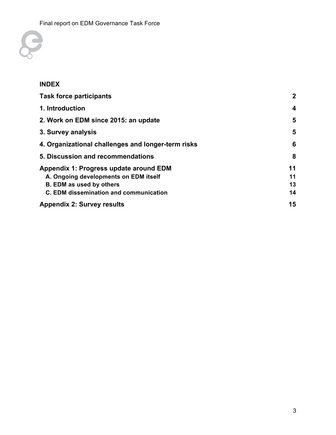

#### **INDEX**

| <b>Task force participants</b>                     | $\mathbf{2}$ |
|----------------------------------------------------|--------------|
| 1. Introduction                                    | 4            |
| 2. Work on EDM since 2015: an update               | 5            |
| 3. Survey analysis                                 | 5            |
| 4. Organizational challenges and longer-term risks | 6            |
| 5. Discussion and recommendations                  | 8            |
| Appendix 1: Progress update around EDM             | 11           |
| A. Ongoing developments on EDM itself              | 11           |
| <b>B. EDM as used by others</b>                    | 13           |
| C. EDM dissemination and communication             | 14           |
| <b>Appendix 2: Survey results</b>                  | 15           |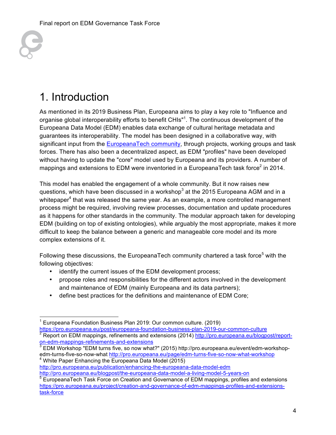

# 1. Introduction

As mentioned in its 2019 Business Plan, Europeana aims to play a key role to "Influence and organise global interoperability efforts to benefit CHIs"<sup>1</sup>. The continuous development of the Europeana Data Model (EDM) enables data exchange of cultural heritage metadata and guarantees its interoperability. The model has been designed in a collaborative way, with significant input from the EuropeanaTech community, through projects, working groups and task forces. There has also been a decentralized aspect, as EDM "profiles" have been developed without having to update the "core" model used by Europeana and its providers. A number of mappings and extensions to EDM were inventoried in a EuropeanaTech task force<sup>2</sup> in 2014.

This model has enabled the engagement of a whole community. But it now raises new questions, which have been discussed in a workshop<sup>3</sup> at the 2015 Europeana AGM and in a whitepaper<sup>4</sup> that was released the same year. As an example, a more controlled management process might be required, involving review processes, documentation and update procedures as it happens for other standards in the community. The modular approach taken for developing EDM (building on top of existing ontologies), while arguably the most appropriate, makes it more difficult to keep the balance between a generic and manageable core model and its more complex extensions of it.

Following these discussions, the EuropeanaTech community chartered a task force<sup>5</sup> with the following objectives:

- identify the current issues of the EDM development process;
- propose roles and responsibilities for the different actors involved in the development and maintenance of EDM (mainly Europeana and its data partners);
- define best practices for the definitions and maintenance of EDM Core;

http://pro.europeana.eu/publication/enhancing-the-europeana-data-model-edm

```
http://pro.europeana.eu/blogpost/the-europeana-data-model-a-living-model-5-years-on
```
 <sup>1</sup> Europeana Foundation Business Plan 2019: Our common culture. (2019) https://pro.europeana.eu/post/europeana-foundation-business-plan-2019-our-common-culture Report on EDM mappings, refinements and extensions (2014) http://pro.europeana.eu/blogpost/reporton-edm-mappings-refinements-and-extensions

 $^3$  EDM Workshop "EDM turns five, so now what?" (2015) http://pro.europeana.eu/event/edm-workshopedm-turns-five-so-now-what http://pro.europeana.eu/page/edm-turns-five-so-now-what-workshop <sup>4</sup> <sup>4</sup> White Paper Enhancing the Europeana Data Model (2015)

<sup>&</sup>lt;sup>5</sup> EuropeanaTech Task Force on Creation and Governance of EDM mappings, profiles and extensions https://pro.europeana.eu/project/creation-and-governance-of-edm-mappings-profiles-and-extensionstask-force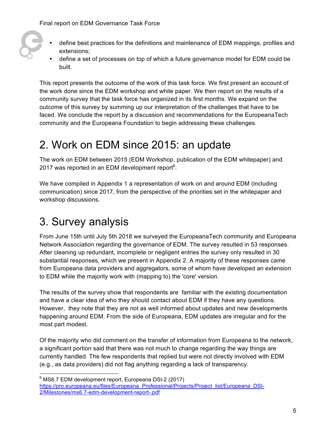- define best practices for the definitions and maintenance of EDM mappings, profiles and extensions;
- define a set of processes on top of which a future governance model for EDM could be built.

This report presents the outcome of the work of this task force. We first present an account of the work done since the EDM workshop and white paper. We then report on the results of a community survey that the task force has organized in its first months. We expand on the outcome of this survey by summing up our interpretation of the challenges that have to be faced. We conclude the report by a discussion and recommendations for the EuropeanaTech community and the Europeana Foundation to begin addressing these challenges.

# 2. Work on EDM since 2015: an update

The work on EDM between 2015 (EDM Workshop, publication of the EDM whitepaper) and 2017 was reported in an EDM development report $6$ .

We have compiled in Appendix 1 a representation of work on and around EDM (including communication) since 2017, from the perspective of the priorities set in the whitepaper and workshop discussions.

# 3. Survey analysis

From June 15th until July 5th 2018 we surveyed the EuropeanaTech community and Europeana Network Association regarding the governance of EDM. The survey resulted in 53 responses. After cleaning up redundant, incomplete or negligent entries the survey only resulted in 30 substantial responses, which we present in Appendix 2. A majority of these responses came from Europeana data providers and aggregators, some of whom have developed an extension to EDM while the majority work with (mapping to) the 'core' version.

The results of the survey show that respondents are familiar with the existing documentation and have a clear idea of who they should contact about EDM if they have any questions. However, they note that they are not as well informed about updates and new developments happening around EDM. From the side of Europeana, EDM updates are irregular and for the most part modest.

Of the majority who did comment on the transfer of information from Europeana to the network, a significant portion said that there was not much to change regarding the way things are currently handled. The few respondents that replied but were not directly involved with EDM (e.g., as data providers) did not flag anything regarding a lack of transparency.

enders<br>
<sup>6</sup> MS6.7 EDM development report, Europeana DSI-2 (2017) https://pro.europeana.eu/files/Europeana\_Professional/Projects/Project\_list/Europeana\_DSI-2/Milestones/ms6.7-edm-development-report-.pdf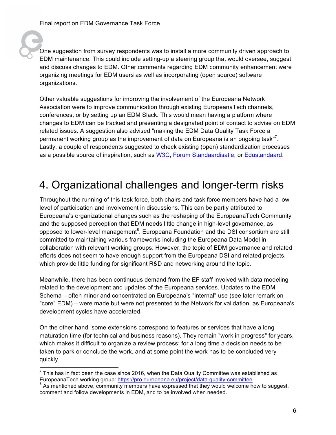One suggestion from survey respondents was to install a more community driven approach to EDM maintenance. This could include setting-up a steering group that would oversee, suggest and discuss changes to EDM. Other comments regarding EDM community enhancement were organizing meetings for EDM users as well as incorporating (open source) software organizations.

Other valuable suggestions for improving the involvement of the Europeana Network Association were to improve communication through existing EuropeanaTech channels, conferences, or by setting up an EDM Slack. This would mean having a platform where changes to EDM can be tracked and presenting a designated point of contact to advise on EDM related issues. A suggestion also advised "making the EDM Data Quality Task Force a permanent working group as the improvement of data on Europeana is an ongoing task"<sup>7</sup>. Lastly, a couple of respondents suggested to check existing (open) standardization processes as a possible source of inspiration, such as W3C, Forum Standaardisatie, or Edustandaard.

## 4. Organizational challenges and longer-term risks

Throughout the running of this task force, both chairs and task force members have had a low level of participation and involvement in discussions. This can be partly attributed to Europeana's organizational changes such as the reshaping of the EuropeanaTech Community and the supposed perception that EDM needs little change in high-level governance, as opposed to lower-level management<sup>8</sup>. Europeana Foundation and the DSI consortium are still committed to maintaining various frameworks including the Europeana Data Model in collaboration with relevant working groups. However, the topic of EDM governance and related efforts does not seem to have enough support from the Europeana DSI and related projects, which provide little funding for significant R&D and networking around the topic.

Meanwhile, there has been continuous demand from the EF staff involved with data modeling related to the development and updates of the Europeana services. Updates to the EDM Schema – often minor and concentrated on Europeana's "internal" use (see later remark on "core" EDM) – were made but were not presented to the Network for validation, as Europeana's development cycles have accelerated.

On the other hand, some extensions correspond to features or services that have a long maturation time (for technical and business reasons). They remain "work in progress" for years, which makes it difficult to organize a review process: for a long time a decision needs to be taken to park or conclude the work, and at some point the work has to be concluded very quickly.

 <sup>7</sup> This has in fact been the case since 2016, when the Data Quality Committee was established as EuropeanaTech working group: https://pro.europeana.eu/project/data-quality-committee

<sup>&</sup>lt;sup>8</sup> As mentioned above, community members have expressed that they would welcome how to suggest, comment and follow developments in EDM, and to be involved when needed.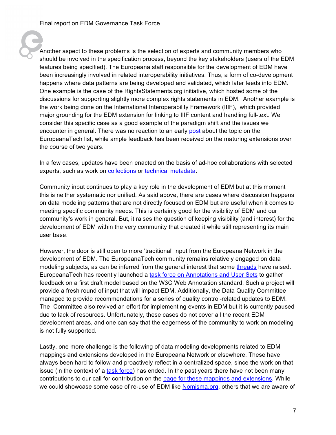Another aspect to these problems is the selection of experts and community members who should be involved in the specification process, beyond the key stakeholders (users of the EDM features being specified). The Europeana staff responsible for the development of EDM have been increasingly involved in related interoperability initiatives. Thus, a form of co-development happens where data patterns are being developed and validated, which later feeds into EDM. One example is the case of the RightsStatements.org initiative, which hosted some of the discussions for supporting slightly more complex rights statements in EDM. Another example is the work being done on the International Interoperability Framework (IIIF), which provided major grounding for the EDM extension for linking to IIIF content and handling full-text. We consider this specific case as a good example of the paradigm shift and the issues we encounter in general. There was no reaction to an early post about the topic on the EuropeanaTech list, while ample feedback has been received on the maturing extensions over the course of two years.

In a few cases, updates have been enacted on the basis of ad-hoc collaborations with selected experts, such as work on collections or technical metadata.

Community input continues to play a key role in the development of EDM but at this moment this is neither systematic nor unified. As said above, there are cases where discussion happens on data modeling patterns that are not directly focused on EDM but are useful when it comes to meeting specific community needs. This is certainly good for the visibility of EDM and our community's work in general. But, it raises the question of keeping visibility (and interest) for the development of EDM within the very community that created it while still representing its main user base.

However, the door is still open to more 'traditional' input from the Europeana Network in the development of EDM. The EuropeanaTech community remains relatively engaged on data modeling subjects, as can be inferred from the general interest that some threads have raised. EuropeanaTech has recently launched a task force on Annotations and User Sets to gather feedback on a first draft model based on the W3C Web Annotation standard. Such a project will provide a fresh round of input that will impact EDM. Additionally, the Data Quality Committee managed to provide recommendations for a series of quality control-related updates to EDM. The Committee also revived an effort for implementing events in EDM but it is currently paused due to lack of resources. Unfortunately, these cases do not cover all the recent EDM development areas, and one can say that the eagerness of the community to work on modeling is not fully supported.

Lastly, one more challenge is the following of data modeling developments related to EDM mappings and extensions developed in the Europeana Network or elsewhere. These have always been hard to follow and proactively reflect in a centralized space, since the work on that issue (in the context of a task force) has ended. In the past years there have not been many contributions to our call for contribution on the page for these mappings and extensions. While we could showcase some case of re-use of EDM like Nomisma.org, others that we are aware of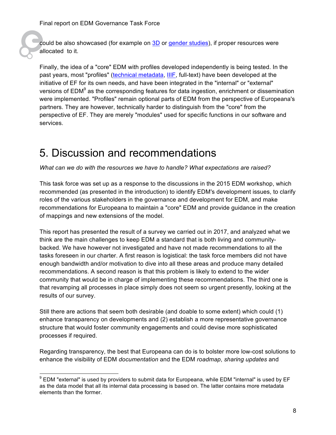could be also showcased (for example on 3D or gender studies), if proper resources were allocated to it.

Finally, the idea of a "core" EDM with profiles developed independently is being tested. In the past years, most "profiles" (technical metadata, IIIF, full-text) have been developed at the initiative of EF for its own needs, and have been integrated in the "internal" or "external" versions of  $\mathsf{EDM}^9$  as the corresponding features for data ingestion, enrichment or dissemination were implemented. "Profiles" remain optional parts of EDM from the perspective of Europeana's partners. They are however, technically harder to distinguish from the "core" from the perspective of EF. They are merely "modules" used for specific functions in our software and services.

# 5. Discussion and recommendations

*What can we do with the resources we have to handle? What expectations are raised?*

This task force was set up as a response to the discussions in the 2015 EDM workshop, which recommended (as presented in the introduction) to identify EDM's development issues, to clarify roles of the various stakeholders in the governance and development for EDM, and make recommendations for Europeana to maintain a "core" EDM and provide guidance in the creation of mappings and new extensions of the model.

This report has presented the result of a survey we carried out in 2017, and analyzed what we think are the main challenges to keep EDM a standard that is both living and communitybacked. We have however not investigated and have not made recommendations to all the tasks foreseen in our charter. A first reason is logistical: the task force members did not have enough bandwidth and/or motivation to dive into all these areas and produce many detailed recommendations. A second reason is that this problem is likely to extend to the wider community that would be in charge of implementing these recommendations. The third one is that revamping all processes in place simply does not seem so urgent presently, looking at the results of our survey.

Still there are actions that seem both desirable (and doable to some extent) which could (1) enhance transparency on developments and (2) establish a more representative governance structure that would foster community engagements and could devise more sophisticated processes if required.

Regarding transparency, the best that Europeana can do is to bolster more low-cost solutions to enhance the visibility of EDM *documentation* and the EDM *roadmap*, *sharing updates* and

 <sup>9</sup> EDM "external" is used by providers to submit data for Europeana, while EDM "internal" is used by EF as the data model that all its internal data processing is based on. The latter contains more metadata elements than the former.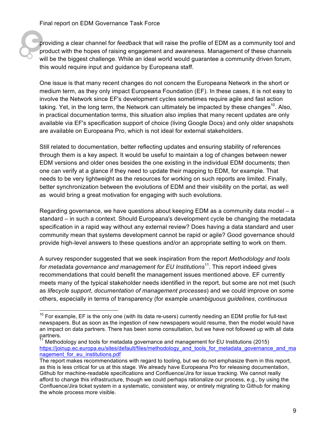providing a clear channel for *feedback* that will raise the profile of EDM as a community tool and product with the hopes of raising engagement and awareness. Management of these channels will be the biggest challenge. While an ideal world would guarantee a community driven forum, this would require input and guidance by Europeana staff.

One issue is that many recent changes do not concern the Europeana Network in the short or medium term, as they only impact Europeana Foundation (EF). In these cases, it is not easy to involve the Network since EF's development cycles sometimes require agile and fast action taking. Yet, in the long term, the Network can ultimately be impacted by these changes<sup>10</sup>. Also, in practical documentation terms, this situation also implies that many recent updates are only available via EF's specification support of choice (living Google Docs) and only older snapshots are available on Europeana Pro, which is not ideal for external stakeholders.

Still related to documentation, better reflecting updates and ensuring stability of references through them is a key aspect. It would be useful to maintain a log of changes between newer EDM versions and older ones besides the one existing in the individual EDM documents; then one can verify at a glance if they need to update their mapping to EDM, for example. That needs to be very lightweight as the resources for working on such reports are limited. Finally, better synchronization between the evolutions of EDM and their visibility on the portal, as well as would bring a great motivation for engaging with such evolutions.

Regarding governance, we have questions about keeping EDM as a community data model – a standard – in such a context. Should Europeana's development cycle be changing the metadata specification in a rapid way without any external review? Does having a data standard and user community mean that systems development cannot be rapid or agile? Good governance should provide high-level answers to these questions and/or an appropriate setting to work on them.

A survey responder suggested that we seek inspiration from the report *Methodology and tools for metadata governance and management for EU Institutions*<sup>11</sup>. This report indeed gives recommendations that could benefit the management issues mentioned above. EF currently meets many of the typical stakeholder needs identified in the report, but some are not met (such as *lifecycle support*, *documentation of management processes*) and we could improve on some others, especially in terms of transparency (for example *unambiguous guidelines*, *continuous* 

 $10$  For example, EF is the only one (with its data re-users) currently needing an EDM profile for full-text newspapers. But as soon as the ingestion of new newspapers would resume, then the model would have an impact on data partners. There has been some consultation, but we have not followed up with all data partners.

<sup>11</sup> Methodology and tools for metadata governance and management for EU Institutions (2015) https://joinup.ec.europa.eu/sites/default/files/methodology\_and\_tools\_for\_metadata\_governance\_and\_ma nagement for eu institutions.pdf

The report makes recommendations with regard to tooling, but we do not emphasize them in this report, as this is less critical for us at this stage. We already have Europeana Pro for releasing documentation, Github for machine-readable specifications and Confluence/Jira for issue tracking. We cannot really afford to change this infrastructure, though we could perhaps rationalize our process, e.g., by using the Confluence/Jira ticket system in a systematic, consistent way, or entirely migrating to Github for making the whole process more visible.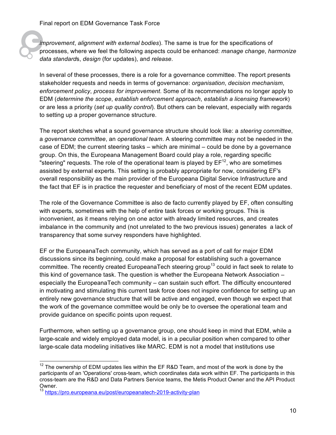*improvement*, *alignment with external bodies*). The same is true for the specifications of processes, where we feel the following aspects could be enhanced: *manage change*, *harmonize data standard*s, *design* (for updates), and *release*.

In several of these processes, there is a role for a governance committee. The report presents stakeholder requests and needs in terms of governance: *organisation*, *decision mechanism*, *enforcement policy*, *process for improvement*. Some of its recommendations no longer apply to EDM (*determine the scope*, *establish enforcement approach*, *establish a licensing framework*) or are less a priority (*set up quality control*). But others can be relevant, especially with regards to setting up a proper governance structure.

The report sketches what a sound governance structure should look like: a *steering committee*, a *governance committee*, an *operational team*. A steering committee may not be needed in the case of EDM; the current steering tasks – which are minimal – could be done by a governance group. On this, the Europeana Management Board could play a role, regarding specific "steering" requests. The role of the operational team is played by  $EF^{12}$ , who are sometimes assisted by external experts. This setting is probably appropriate for now, considering EF's overall responsibility as the main provider of the Europeana Digital Service Infrastructure and the fact that EF is in practice the requester and beneficiary of most of the recent EDM updates.

The role of the Governance Committee is also de facto currently played by EF, often consulting with experts, sometimes with the help of entire task forces or working groups. This is inconvenient, as it means relying on one actor with already limited resources, and creates imbalance in the community and (not unrelated to the two previous issues) generates a lack of transparency that some survey responders have highlighted.

EF or the EuropeanaTech community, which has served as a port of call for major EDM discussions since its beginning, could make a proposal for establishing such a governance committee. The recently created EuropeanaTech steering group<sup>13</sup> could in fact seek to relate to this kind of governance task. The question is whether the Europeana Network Association – especially the EuropeanaTech community – can sustain such effort. The difficulty encountered in motivating and stimulating this current task force does not inspire confidence for setting up an entirely new governance structure that will be active and engaged, even though we expect that the work of the governance committee would be only be to oversee the operational team and provide guidance on specific points upon request.

Furthermore, when setting up a governance group, one should keep in mind that EDM, while a large-scale and widely employed data model, is in a peculiar position when compared to other large-scale data modeling initiatives like MARC. EDM is not a model that institutions use

 $12$  The ownership of EDM updates lies within the EF R&D Team, and most of the work is done by the participants of an 'Operations' cross-team, which coordinates data work within EF. The participants in this cross-team are the R&D and Data Partners Service teams, the Metis Product Owner and the API Product Owner.<br> $13 \text{ km/s}$ 

https://pro.europeana.eu/post/europeanatech-2019-activity-plan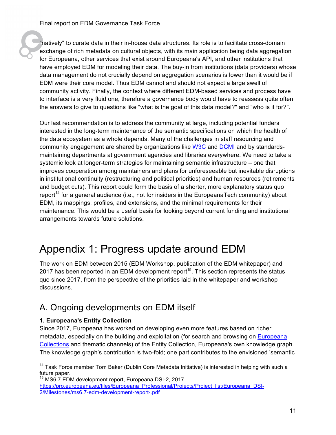"natively" to curate data in their in-house data structures. Its role is to facilitate cross-domain exchange of rich metadata on cultural objects, with its main application being data aggregation for Europeana, other services that exist around Europeana's API, and other institutions that have employed EDM for modeling their data. The buy-in from institutions (data providers) whose data management do not crucially depend on aggregation scenarios is lower than it would be if EDM were their core model. Thus EDM cannot and should not expect a large swell of community activity. Finally, the context where different EDM-based services and process have to interface is a very fluid one, therefore a governance body would have to reassess quite often the answers to give to questions like "what is the goal of this data model?" and "who is it for?".

Our last recommendation is to address the community at large, including potential funders interested in the long-term maintenance of the semantic specifications on which the health of the data ecosystem as a whole depends. Many of the challenges in staff resourcing and community engagement are shared by organizations like W3C and DCMI and by standardsmaintaining departments at government agencies and libraries everywhere. We need to take a systemic look at longer-term strategies for maintaining semantic infrastructure – one that improves cooperation among maintainers and plans for unforeseeable but inevitable disruptions in institutional continuity (restructuring and political priorities) and human resources (retirements and budget cuts). This report could form the basis of a shorter, more explanatory status quo report<sup>14</sup> for a general audience (i.e., not for insiders in the EuropeanaTech community) about EDM, its mappings, profiles, and extensions, and the minimal requirements for their maintenance. This would be a useful basis for looking beyond current funding and institutional arrangements towards future solutions.

# Appendix 1: Progress update around EDM

The work on EDM between 2015 (EDM Workshop, publication of the EDM whitepaper) and 2017 has been reported in an EDM development report<sup>15</sup>. This section represents the status quo since 2017, from the perspective of the priorities laid in the whitepaper and workshop discussions.

### A. Ongoing developments on EDM itself

#### **1. Europeana's Entity Collection**

Since 2017, Europeana has worked on developing even more features based on richer metadata, especially on the building and exploitation (for search and browsing on Europeana Collections and thematic channels) of the Entity Collection, Europeana's own knowledge graph. The knowledge graph's contribution is two-fold; one part contributes to the envisioned 'semantic

<sup>&</sup>lt;sup>14</sup> Task Force member Tom Baker (Dublin Core Metadata Initiative) is interested in helping with such a future paper.

<sup>15</sup> MS6.7 EDM development report, Europeana DSI-2, 2017 https://pro.europeana.eu/files/Europeana\_Professional/Projects/Project\_list/Europeana\_DSI-2/Milestones/ms6.7-edm-development-report-.pdf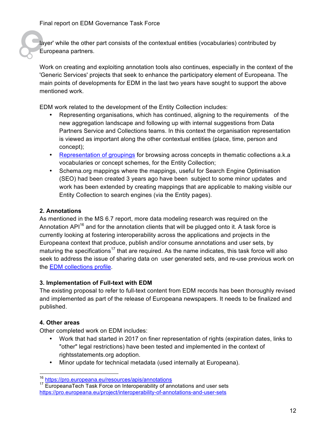layer' while the other part consists of the contextual entities (vocabularies) contributed by Europeana partners.

Work on creating and exploiting annotation tools also continues, especially in the context of the 'Generic Services' projects that seek to enhance the participatory element of Europeana. The main points of developments for EDM in the last two years have sought to support the above mentioned work.

EDM work related to the development of the Entity Collection includes:

- Representing organisations, which has continued, aligning to the requirements of the new aggregation landscape and following up with internal suggestions from Data Partners Service and Collections teams. In this context the organisation representation is viewed as important along the other contextual entities (place, time, person and concept);
- Representation of groupings for browsing across concepts in thematic collections a.k.a vocabularies or concept schemes, for the Entity Collection;
- Schema.org mappings where the mappings, useful for Search Engine Optimisation (SEO) had been created 3 years ago have been subject to some minor updates and work has been extended by creating mappings that are applicable to making visible our Entity Collection to search engines (via the Entity pages).

#### **2. Annotations**

As mentioned in the MS 6.7 report, more data modeling research was required on the Annotation  $AP1^{16}$  and for the annotation clients that will be plugged onto it. A task force is currently looking at fostering interoperability across the applications and projects in the Europeana context that produce, publish and/or consume annotations and user sets, by maturing the specifications<sup>17</sup> that are required. As the name indicates, this task force will also seek to address the issue of sharing data on user generated sets, and re-use previous work on the EDM collections profile.

#### **3. Implementation of Full-text with EDM**

The existing proposal to refer to full-text content from EDM records has been thoroughly revised and implemented as part of the release of Europeana newspapers. It needs to be finalized and published.

#### **4. Other areas**

Other completed work on EDM includes:

- Work that had started in 2017 on finer representation of rights (expiration dates, links to "other" legal restrictions) have been tested and implemented in the context of rightsstatements.org adoption.
- Minor update for technical metadata (used internally at Europeana).

<sup>&</sup>lt;sup>16</sup> https://pro.europeana.eu/resources/apis/annotations<br><sup>17</sup> EuropeanaTech Task Force on Interoperability of annotations and user sets https://pro.europeana.eu/project/interoperability-of-annotations-and-user-sets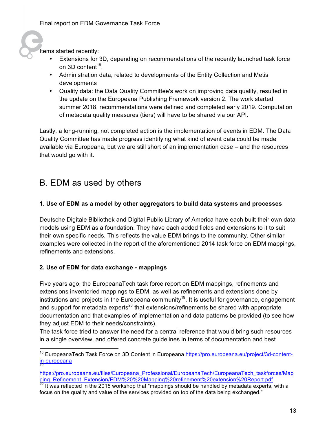Items started recently:

- Extensions for 3D, depending on recommendations of the recently launched task force on 3D content<sup>18</sup>.
- Administration data, related to developments of the Entity Collection and Metis developments
- Quality data: the Data Quality Committee's work on improving data quality, resulted in the update on the Europeana Publishing Framework version 2. The work started summer 2018, recommendations were defined and completed early 2019. Computation of metadata quality measures (tiers) will have to be shared via our API.

Lastly, a long-running, not completed action is the implementation of events in EDM. The Data Quality Committee has made progress identifying what kind of event data could be made available via Europeana, but we are still short of an implementation case – and the resources that would go with it.

### B. EDM as used by others

#### **1. Use of EDM as a model by other aggregators to build data systems and processes**

Deutsche Digitale Bibliothek and Digital Public Library of America have each built their own data models using EDM as a foundation. They have each added fields and extensions to it to suit their own specific needs. This reflects the value EDM brings to the community. Other similar examples were collected in the report of the aforementioned 2014 task force on EDM mappings, refinements and extensions.

#### **2. Use of EDM for data exchange - mappings**

Five years ago, the EuropeanaTech task force report on EDM mappings, refinements and extensions inventoried mappings to EDM, as well as refinements and extensions done by institutions and projects in the Europeana community<sup>19</sup>. It is useful for governance, engagement and support for metadata experts<sup>20</sup> that extensions/refinements be shared with appropriate documentation and that examples of implementation and data patterns be provided (to see how they adjust EDM to their needs/constraints).

The task force tried to answer the need for a central reference that would bring such resources in a single overview, and offered concrete guidelines in terms of documentation and best

<sup>&</sup>lt;sup>18</sup> EuropeanaTech Task Force on 3D Content in Europeana https://pro.europeana.eu/project/3d-contentin-europeana

https://pro.europeana.eu/files/Europeana\_Professional/EuropeanaTech/EuropeanaTech\_taskforces/Map ping\_Refinement\_Extension/EDM%20%20Mapping%20refinement%20extension%20Report.pdf <sup>20</sup> It was reflected in the 2015 workshop that "mappings should be handled by metadata experts, with a

focus on the quality and value of the services provided on top of the data being exchanged."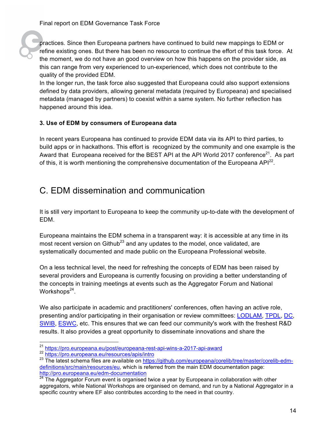practices. Since then Europeana partners have continued to build new mappings to EDM or refine existing ones. But there has been no resource to continue the effort of this task force. At the moment, we do not have an good overview on how this happens on the provider side, as this can range from very experienced to un-experienced, which does not contribute to the quality of the provided EDM.

In the longer run, the task force also suggested that Europeana could also support extensions defined by data providers, allowing general metadata (required by Europeana) and specialised metadata (managed by partners) to coexist within a same system. No further reflection has happened around this idea.

#### **3. Use of EDM by consumers of Europeana data**

In recent years Europeana has continued to provide EDM data via its API to third parties, to build apps or in hackathons. This effort is recognized by the community and one example is the Award that Europeana received for the BEST API at the API World 2017 conference<sup>21</sup>. As part of this, it is worth mentioning the comprehensive documentation of the Europeana  $API^{22}$ .

### C. EDM dissemination and communication

It is still very important to Europeana to keep the community up-to-date with the development of EDM.

Europeana maintains the EDM schema in a transparent way: it is accessible at any time in its most recent version on Github<sup>23</sup> and any updates to the model, once validated, are systematically documented and made public on the Europeana Professional website.

On a less technical level, the need for refreshing the concepts of EDM has been raised by several providers and Europeana is currently focusing on providing a better understanding of the concepts in training meetings at events such as the Aggregator Forum and National Workshops $^{24}$ .

We also participate in academic and practitioners' conferences, often having an active role, presenting and/or participating in their organisation or review committees: LODLAM, TPDL, DC, SWIB, ESWC, etc. This ensures that we can feed our community's work with the freshest R&D results. It also provides a great opportunity to disseminate innovations and share the

<sup>&</sup>lt;sup>21</sup> https://pro.europeana.eu/post/europeana-rest-api-wins-a-2017-api-award<br><sup>22</sup> https://pro.europeana.eu/resources/apis/intro

<sup>&</sup>lt;sup>23</sup> The latest schema files are available on https://github.com/europeana/corelib/tree/master/corelib-edmdefinitions/src/main/resources/eu, which is referred from the main EDM documentation page: http://pro.europeana.eu/edm-documentation<br><sup>24</sup> The Aggregator Ferum quant is arganisati

<sup>24</sup> The Aggregator Forum event is organised twice a year by Europeana in collaboration with other aggregators, while National Workshops are organised on demand, and run by a National Aggregator in a specific country where EF also contributes according to the need in that country.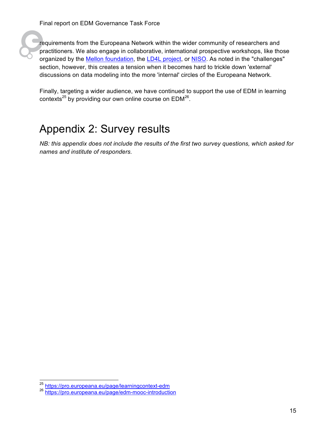

requirements from the Europeana Network within the wider community of researchers and practitioners. We also engage in collaborative, international prospective workshops, like those organized by the Mellon foundation, the LD4L project, or NISO. As noted in the "challenges" section, however, this creates a tension when it becomes hard to trickle down 'external' discussions on data modeling into the more 'internal' circles of the Europeana Network.

Finally, targeting a wider audience, we have continued to support the use of EDM in learning contexts<sup>25</sup> by providing our own online course on  $EDM^{26}$ .

## Appendix 2: Survey results

*NB: this appendix does not include the results of the first two survey questions, which asked for names and institute of responders.*

<sup>&</sup>lt;sup>25</sup> https://pro.europeana.eu/page/learningcontext-edm

<sup>26</sup> https://pro.europeana.eu/page/edm-mooc-introduction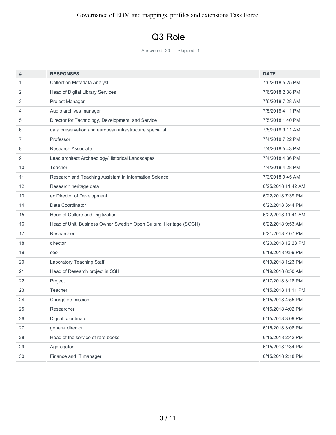## Q3 Role

Answered: 30 Skipped: 1

| #              | <b>RESPONSES</b>                                                   | <b>DATE</b>        |
|----------------|--------------------------------------------------------------------|--------------------|
| 1              | <b>Collection Metadata Analyst</b>                                 | 7/6/2018 5:25 PM   |
| 2              | Head of Digital Library Services                                   | 7/6/2018 2:38 PM   |
| 3              | Project Manager                                                    | 7/6/2018 7:28 AM   |
| $\overline{4}$ | Audio archives manager                                             | 7/5/2018 4:11 PM   |
| 5              | Director for Technology, Development, and Service                  | 7/5/2018 1:40 PM   |
| 6              | data preservation and european infrastructure specialist           | 7/5/2018 9:11 AM   |
| 7              | Professor                                                          | 7/4/2018 7:22 PM   |
| 8              | Research Associate                                                 | 7/4/2018 5:43 PM   |
| 9              | Lead architect Archaeology/Historical Landscapes                   | 7/4/2018 4:36 PM   |
| 10             | Teacher                                                            | 7/4/2018 4:28 PM   |
| 11             | Research and Teaching Assistant in Information Science             | 7/3/2018 9:45 AM   |
| 12             | Research heritage data                                             | 6/25/2018 11:42 AM |
| 13             | ex Director of Development                                         | 6/22/2018 7:39 PM  |
| 14             | Data Coordinator                                                   | 6/22/2018 3:44 PM  |
| 15             | Head of Culture and Digitization                                   | 6/22/2018 11:41 AM |
| 16             | Head of Unit, Business Owner Swedish Open Cultural Heritage (SOCH) | 6/22/2018 9:53 AM  |
| 17             | Researcher                                                         | 6/21/2018 7:07 PM  |
| 18             | director                                                           | 6/20/2018 12:23 PM |
| 19             | ceo                                                                | 6/19/2018 9:59 PM  |
| 20             | Laboratory Teaching Staff                                          | 6/19/2018 1:23 PM  |
| 21             | Head of Research project in SSH                                    | 6/19/2018 8:50 AM  |
| 22             | Project                                                            | 6/17/2018 3:18 PM  |
| 23             | Teacher                                                            | 6/15/2018 11:11 PM |
| 24             | Chargé de mission                                                  | 6/15/2018 4:55 PM  |
| 25             | Researcher                                                         | 6/15/2018 4:02 PM  |
| 26             | Digital coordinator                                                | 6/15/2018 3:09 PM  |
| 27             | general director                                                   | 6/15/2018 3:08 PM  |
| 28             | Head of the service of rare books                                  | 6/15/2018 2:42 PM  |
| 29             | Aggregator                                                         | 6/15/2018 2:34 PM  |
| 30             | Finance and IT manager                                             | 6/15/2018 2:18 PM  |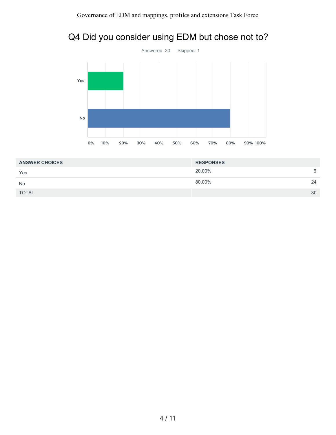### Q4 Did you consider using EDM but chose not to?



| <b>ANSWER CHOICES</b> | <b>RESPONSES</b> |     |
|-----------------------|------------------|-----|
| Yes                   | 20.00%           | - 6 |
| <b>No</b>             | 80.00%           | 24  |
| <b>TOTAL</b>          |                  | 30  |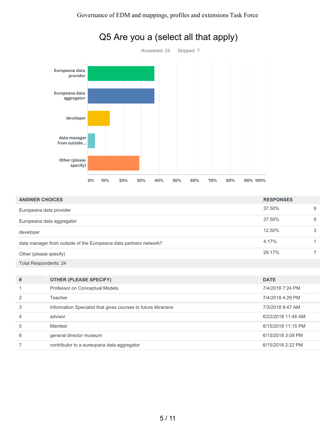

|  | Q5 Are you a (select all that apply) |
|--|--------------------------------------|
|--|--------------------------------------|

| <b>ANSWER CHOICES</b>        |                                                                   | <b>RESPONSES</b>   |   |
|------------------------------|-------------------------------------------------------------------|--------------------|---|
| Europeana data provider      |                                                                   | 37.50%             | 9 |
|                              | Europeana data aggregator                                         | 37.50%             | 9 |
| developer                    |                                                                   | 12.50%             | 3 |
|                              | data manager from outside of the Europeana data partners network? | 4.17%              | 1 |
| Other (please specify)       |                                                                   | 29.17%             | 7 |
| <b>Total Respondents: 24</b> |                                                                   |                    |   |
|                              |                                                                   |                    |   |
| #                            | <b>OTHER (PLEASE SPECIFY)</b>                                     | <b>DATE</b>        |   |
|                              | Professor on Conceptual Models                                    | 7/4/2018 7:24 PM   |   |
| 2                            | Teacher                                                           | 7/4/2018 4:29 PM   |   |
| 3                            | Information Specialist that gives courses to future librarians    | 7/3/2018 9:47 AM   |   |
| 4                            | advisor                                                           | 6/22/2018 11:48 AM |   |
| 5                            | Member                                                            | 6/15/2018 11:15 PM |   |
| 6                            | general director museum                                           | 6/15/2018 3:09 PM  |   |

7 contributor to a eureopana data aggregator 6/15/2018 2:22 PM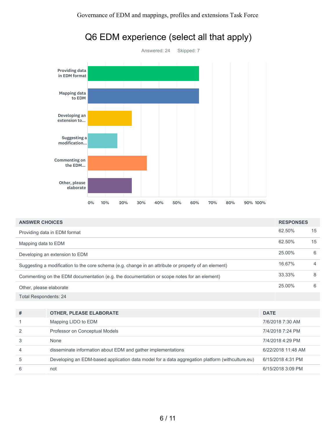

| <b>ANSWER CHOICES</b>                                                                                | <b>RESPONSES</b> |    |
|------------------------------------------------------------------------------------------------------|------------------|----|
| Providing data in EDM format                                                                         | 62.50%           | 15 |
| Mapping data to EDM                                                                                  | 62.50%           | 15 |
| Developing an extension to EDM                                                                       | 25.00%           | 6  |
| Suggesting a modification to the core schema (e.g. change in an attribute or property of an element) | 16.67%           | 4  |
| Commenting on the EDM documentation (e.g. the documentation or scope notes for an element)           | 33.33%           | 8  |
| Other, please elaborate                                                                              | 25.00%           | 6  |
| <b>Total Respondents: 24</b>                                                                         |                  |    |

| #              | <b>OTHER, PLEASE ELABORATE</b>                                                                  | <b>DATE</b>        |
|----------------|-------------------------------------------------------------------------------------------------|--------------------|
|                | Mapping LIDO to EDM                                                                             | 7/6/2018 7:30 AM   |
| $\mathcal{P}$  | Professor on Conceptual Models                                                                  | 7/4/2018 7:24 PM   |
|                | None                                                                                            | 7/4/2018 4:29 PM   |
| $\overline{4}$ | disseminate information about EDM and gather implementations                                    | 6/22/2018 11:48 AM |
| 5              | Developing an EDM-based application data model for a data aggregation platform (withculture.eu) | 6/15/2018 4:31 PM  |
| 6              | not                                                                                             | 6/15/2018 3:09 PM  |

#### 6 / 11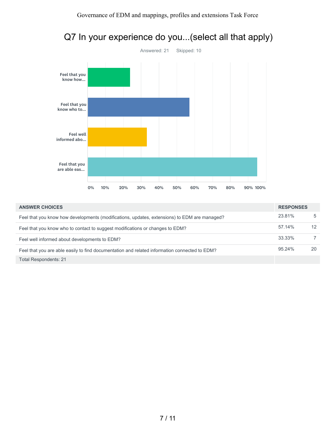

| <b>ANSWER CHOICES</b>                                                                         | <b>RESPONSES</b> |    |
|-----------------------------------------------------------------------------------------------|------------------|----|
| Feel that you know how developments (modifications, updates, extensions) to EDM are managed?  | 23.81%           | 5  |
| Feel that you know who to contact to suggest modifications or changes to EDM?                 | 57.14%           | 12 |
| Feel well informed about developments to EDM?                                                 | 33.33%           |    |
| Feel that you are able easily to find documentation and related information connected to EDM? | 95.24%           | 20 |
| <b>Total Respondents: 21</b>                                                                  |                  |    |

## Q7 In your experience do you...(select all that apply)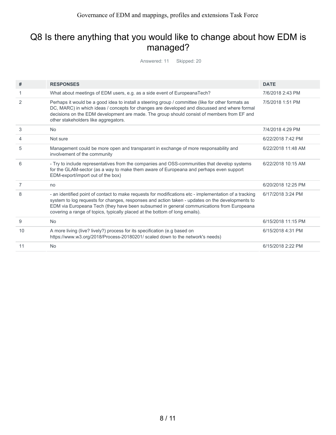### Q8 Is there anything that you would like to change about how EDM is managed?

Answered: 11 Skipped: 20

| #  | <b>RESPONSES</b>                                                                                                                                                                                                                                                                                                                                                                     | <b>DATE</b>        |
|----|--------------------------------------------------------------------------------------------------------------------------------------------------------------------------------------------------------------------------------------------------------------------------------------------------------------------------------------------------------------------------------------|--------------------|
| 1  | What about meetings of EDM users, e.g. as a side event of EuropeanaTech?                                                                                                                                                                                                                                                                                                             | 7/6/2018 2:43 PM   |
| 2  | Perhaps it would be a good idea to install a steering group / committee (like for other formats as<br>DC, MARC) in which ideas / concepts for changes are developed and discussed and where formal<br>decisions on the EDM development are made. The group should consist of members from EF and<br>other stakeholders like aggregators.                                             | 7/5/2018 1:51 PM   |
| 3  | <b>No</b>                                                                                                                                                                                                                                                                                                                                                                            | 7/4/2018 4:29 PM   |
| 4  | Not sure                                                                                                                                                                                                                                                                                                                                                                             | 6/22/2018 7:42 PM  |
| 5  | Management could be more open and transparant in exchange of more responsability and<br>involvement of the community                                                                                                                                                                                                                                                                 | 6/22/2018 11:48 AM |
| 6  | - Try to include representatives from the companies and OSS-communities that develop systems<br>for the GLAM-sector (as a way to make them aware of Europeana and perhaps even support<br>EDM-export/import out of the box)                                                                                                                                                          | 6/22/2018 10:15 AM |
| 7  | no                                                                                                                                                                                                                                                                                                                                                                                   | 6/20/2018 12:25 PM |
| 8  | - an identified point of contact to make requests for modifications etc - implementation of a tracking<br>system to log requests for changes, responses and action taken - updates on the developments to<br>EDM via Europeana Tech (they have been subsumed in general communications from Europeana<br>covering a range of topics, typically placed at the bottom of long emails). | 6/17/2018 3:24 PM  |
| 9  | <b>No</b>                                                                                                                                                                                                                                                                                                                                                                            | 6/15/2018 11:15 PM |
| 10 | A more living (live? lively?) process for its specification (e.g based on<br>https://www.w3.org/2018/Process-20180201/ scaled down to the network's needs)                                                                                                                                                                                                                           | 6/15/2018 4:31 PM  |
| 11 | <b>No</b>                                                                                                                                                                                                                                                                                                                                                                            | 6/15/2018 2:22 PM  |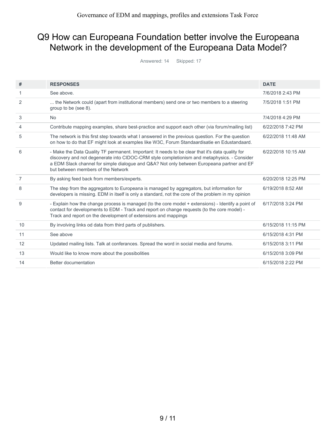### Q9 How can Europeana Foundation better involve the Europeana Network in the development of the Europeana Data Model?

Answered: 14 Skipped: 17

| #              | <b>RESPONSES</b>                                                                                                                                                                                                                                                                                                                    | <b>DATE</b>        |
|----------------|-------------------------------------------------------------------------------------------------------------------------------------------------------------------------------------------------------------------------------------------------------------------------------------------------------------------------------------|--------------------|
| 1              | See above.                                                                                                                                                                                                                                                                                                                          | 7/6/2018 2:43 PM   |
| 2              | the Network could (apart from institutional members) send one or two members to a steering<br>group to be (see 8).                                                                                                                                                                                                                  | 7/5/2018 1:51 PM   |
| 3              | <b>No</b>                                                                                                                                                                                                                                                                                                                           | 7/4/2018 4:29 PM   |
| 4              | Contribute mapping examples, share best-practice and support each other (via forum/mailing list)                                                                                                                                                                                                                                    | 6/22/2018 7:42 PM  |
| 5              | The network is this first step towards what I answered in the previous question. For the question<br>on how to do that EF might look at examples like W3C, Forum Standaardisatie en Edustandaard.                                                                                                                                   | 6/22/2018 11:48 AM |
| 6              | - Make the Data Quality TF permanent. Important: It needs to be clear that it's data quality for<br>discovery and not degenerate into CIDOC-CRM style completionism and metaphysics. - Consider<br>a EDM Slack channel for simple dialogue and Q&A? Not only between Europeana partner and EF<br>but between members of the Network | 6/22/2018 10:15 AM |
| $\overline{7}$ | By asking feed back from members/experts.                                                                                                                                                                                                                                                                                           | 6/20/2018 12:25 PM |
|                |                                                                                                                                                                                                                                                                                                                                     |                    |
| 8              | The step from the aggregators to Europeana is managed by aggregators, but information for<br>developers is missing. EDM in itself is only a standard, not the core of the problem in my opinion                                                                                                                                     | 6/19/2018 8:52 AM  |
| 9              | - Explain how the change process is managed (to the core model + extensions) - Identify a point of<br>contact for developments to EDM - Track and report on change requests (to the core model) -<br>Track and report on the development of extensions and mappings                                                                 | 6/17/2018 3:24 PM  |
| 10             | By involving links od data from third parts of publishers.                                                                                                                                                                                                                                                                          | 6/15/2018 11:15 PM |
| 11             | See above                                                                                                                                                                                                                                                                                                                           | 6/15/2018 4:31 PM  |
| 12             | Updated mailing lists. Talk at conferances. Spread the word in social media and forums.                                                                                                                                                                                                                                             | 6/15/2018 3:11 PM  |
| 13             | Would like to know more about the possibolities                                                                                                                                                                                                                                                                                     | 6/15/2018 3:09 PM  |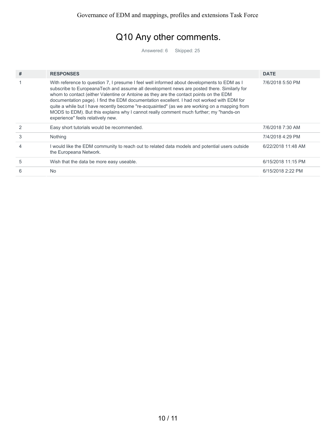## Q10 Any other comments.

Answered: 6 Skipped: 25

| # | <b>RESPONSES</b>                                                                                                                                                                                                                                                                                                                                                                                                                                                                                                                                                                                                  | <b>DATE</b>        |
|---|-------------------------------------------------------------------------------------------------------------------------------------------------------------------------------------------------------------------------------------------------------------------------------------------------------------------------------------------------------------------------------------------------------------------------------------------------------------------------------------------------------------------------------------------------------------------------------------------------------------------|--------------------|
|   | With reference to question 7, I presume I feel well informed about developments to EDM as I<br>subscribe to EuropeanaTech and assume all development news are posted there. Similarly for<br>whom to contact (either Valentine or Antoine as they are the contact points on the EDM<br>documentation page). I find the EDM documentation excellent. I had not worked with EDM for<br>quite a while but I have recently become "re-acquainted" (as we are working on a mapping from<br>MODS to EDM). But this explains why I cannot really comment much further; my "hands-on<br>experience" feels relatively new. | 7/6/2018 5:50 PM   |
|   | Easy short tutorials would be recommended.                                                                                                                                                                                                                                                                                                                                                                                                                                                                                                                                                                        | 7/6/2018 7:30 AM   |
| 3 | Nothing                                                                                                                                                                                                                                                                                                                                                                                                                                                                                                                                                                                                           | 7/4/2018 4:29 PM   |
| 4 | I would like the EDM community to reach out to related data models and potential users outside<br>the Europeana Network.                                                                                                                                                                                                                                                                                                                                                                                                                                                                                          | 6/22/2018 11:48 AM |
| 5 | Wish that the data be more easy useable.                                                                                                                                                                                                                                                                                                                                                                                                                                                                                                                                                                          | 6/15/2018 11:15 PM |
| 6 | No                                                                                                                                                                                                                                                                                                                                                                                                                                                                                                                                                                                                                | 6/15/2018 2:22 PM  |